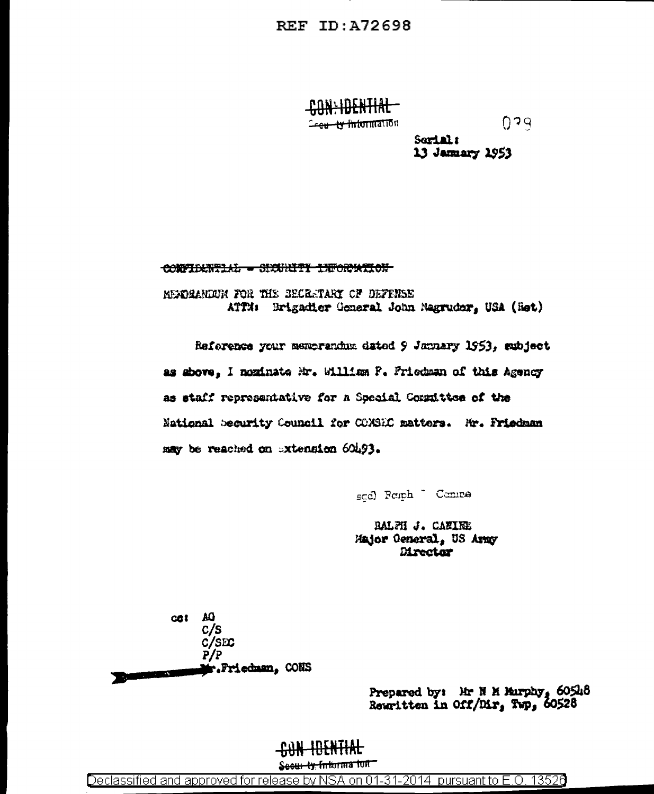<u> CONLIDENTIAL</u> <del>2ceu - Iv Informatio</del>n

 $0.39$ 

Sorial: 13 January 1953

CONFIDENTIAL - SICURITI INFORMATION

MENDEANDUM FOR THE SECRETARY OF DEFFNEE ATTM: Brigadier General John Nagruder, USA (Set)

Reference your memorandum dated 9 January 1953, subject as above, I nominate Mr. William P. Friedman of this Agency as staff representative for a Special Constitute of the National Security Council for CONSIC matters. Mr. Friedman may be reached on extension 60493.

sgd) Reiph <sup>-</sup> Camre

BALFH J. CANIEE Major General, US Army Director

AQ  $cati$  $c/s$  $C/SEC$  $P/P$ Mr.Friedman, CONS أأخصص والمراجع

> Prepared by: Hr N M Murphy, 60548 Rewritten in Off/Dir, Twp, 60528

## CAN H<del>an Nijal</del>

Secur ty, Information

Declassified and approved for release by NSA on 01-31-2014 pursuant to E.O. 13526